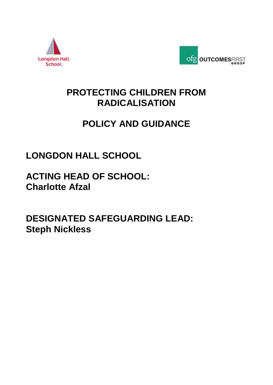



### **PROTECTING CHILDREN FROM RADICALISATION**

## **POLICY AND GUIDANCE**

# **LONGDON HALL SCHOOL**

**ACTING HEAD OF SCHOOL: Charlotte Afzal**

**DESIGNATED SAFEGUARDING LEAD: Steph Nickless**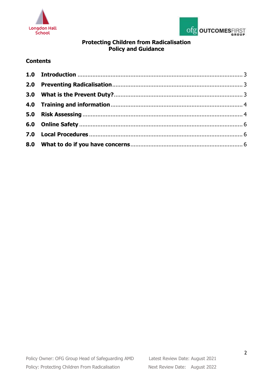



### **Protecting Children from Radicalisation Policy and Guidance**

#### **Contents**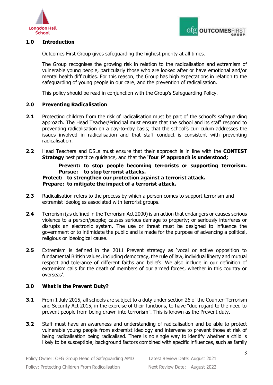



#### <span id="page-2-0"></span>**1.0 Introduction**

Outcomes First Group gives safeguarding the highest priority at all times.

The Group recognises the growing risk in relation to the radicalisation and extremism of vulnerable young people, particularly those who are looked after or have emotional and/or mental health difficulties. For this reason, the Group has high expectations in relation to the safeguarding of young people in our care, and the prevention of radicalisation.

This policy should be read in conjunction with the Group's Safeguarding Policy.

#### <span id="page-2-1"></span>**2.0 Preventing Radicalisation**

- **2.1** Protecting children from the risk of radicalisation must be part of the school's safeguarding approach. The Head Teacher/Principal must ensure that the school and its staff respond to preventing radicalisation on a day-to-day basis; that the school's curriculum addresses the issues involved in radicalisation and that staff conduct is consistent with preventing radicalisation.
- **2.2** Head Teachers and DSLs must ensure that their approach is in line with the **CONTEST Strategy** best practice guidance, and that the **'four P' approach is understood;**

#### **Prevent: to stop people becoming terrorists or supporting terrorism. Pursue: to stop terrorist attacks. Protect: to strengthen our protection against a terrorist attack. Prepare: to mitigate the impact of a terrorist attack.**

- **2.3** Radicalisation refers to the process by which a person comes to support terrorism and extremist ideologies associated with terrorist groups.
- **2.4** Terrorism (as defined in the Terrorism Act 2000) is an action that endangers or causes serious violence to a person/people; causes serious damage to property; or seriously interferes or disrupts an electronic system. The use or threat must be designed to influence the government or to intimidate the public and is made for the purpose of advancing a political, religious or ideological cause.
- **2.5** Extremism is defined in the 2011 Prevent strategy as 'vocal or active opposition to fundamental British values, including democracy, the rule of law, individual liberty and mutual respect and tolerance of different faiths and beliefs. We also include in our definition of extremism calls for the death of members of our armed forces, whether in this country or overseas'.

#### <span id="page-2-2"></span>**3.0 What is the Prevent Duty?**

- **3.1** From 1 July 2015, all schools are subject to a duty under section 26 of the Counter-Terrorism and Security Act 2015, in the exercise of their functions, to have "due regard to the need to prevent people from being drawn into terrorism". This is known as the Prevent duty.
- **3.2** Staff must have an awareness and understanding of radicalisation and be able to protect vulnerable young people from extremist ideology and intervene to prevent those at risk of being radicalisation being radicalised. There is no single way to identify whether a child is likely to be susceptible; background factors combined with specific influences, such as family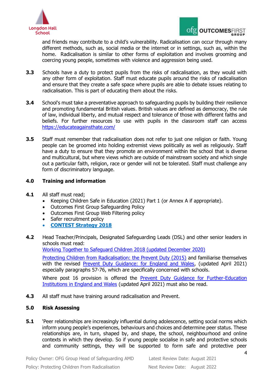



and friends may contribute to a child's vulnerability. Radicalisation can occur through many different methods, such as, social media or the internet or in settings, such as, within the home. Radicalisation is similar to other forms of exploitation and involves grooming and coercing young people, sometimes with violence and aggression being used.

- **3.3** Schools have a duty to protect pupils from the risks of radicalisation, as they would with any other form of exploitation. Staff must educate pupils around the risks of radicalisation and ensure that they create a safe space where pupils are able to debate issues relating to radicalisation. This is part of educating them about the risks.
- **3.4** School's must take a preventative approach to safeguarding pupils by building their resilience and promoting fundamental British values. British values are defined as democracy, the rule of law, individual liberty, and mutual respect and tolerance of those with different faiths and beliefs. For further resources to use with pupils in the classroom staff can access <https://educateagainsthate.com/>
- **3.5** Staff must remember that radicalisation does not refer to just one religion or faith. Young people can be groomed into holding extremist views politically as well as religiously. Staff have a duty to ensure that they promote an environment within the school that is diverse and multicultural, but where views which are outside of mainstream society and which single out a particular faith, religion, race or gender will not be tolerated. Staff must challenge any form of discriminatory language.

#### <span id="page-3-0"></span>**4.0 Training and information**

- **4.1** All staff must read;
	- Keeping Children Safe in Education (2021) Part 1 (or Annex A if appropriate).
	- Outcomes First Group Safeguarding Policy
	- Outcomes First Group Web Filtering policy
	- Safer recruitment policy
	- **[CONTEST Strategy 2018](https://www.gov.uk/government/collections/contest)**
- **4.2** Head Teacher/Principals, Designated Safeguarding Leads (DSL) and other senior leaders in schools must read:

[Working Together to Safeguard Children 2018 \(updated December 2020\)](https://www.gov.uk/government/publications/working-together-to-safeguard-children--2) 

[Protecting Children from Radicalisation: the Prevent Duty \(2015\)](https://www.gov.uk/government/publications/protecting-children-from-radicalisation-the-prevent-duty) and familiarise themselves with the revised [Prevent Duty Guidance: for England and Wales,](https://www.gov.uk/government/publications/prevent-duty-guidance/revised-prevent-duty-guidance-for-england-and-wales) (updated April 2021) especially paragraphs 57-76, which are specifically concerned with schools.

Where post 16 provision is offered the [Prevent Duty Guidance for Further-Education](https://www.gov.uk/government/publications/prevent-duty-guidance/prevent-duty-guidance-for-further-education-institutions-in-england-and-wales)  [Institutions in England and Wales](https://www.gov.uk/government/publications/prevent-duty-guidance/prevent-duty-guidance-for-further-education-institutions-in-england-and-wales) (updated April 2021) must also be read.

**4.3** All staff must have training around radicalisation and Prevent.

#### <span id="page-3-1"></span>**5.0 Risk Assessing**

**5.1** 'Peer relationships are increasingly influential during adolescence, setting social norms which inform young people's experiences, behaviours and choices and determine peer status. These relationships are, in turn, shaped by, and shape, the school, neighbourhood and online contexts in which they develop. So if young people socialise in safe and protective schools and community settings, they will be supported to form safe and protective peer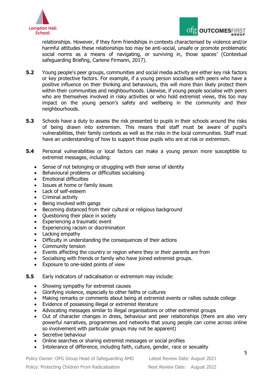



relationships. However, if they form friendships in contexts characterised by violence and/or harmful attitudes these relationships too may be anti-social, unsafe or promote problematic social norms as a means of navigating, or surviving in, those spaces' (Contextual safeguarding Briefing, Carlene Firmann, 2017).

- **5.2** Young people's peer groups, communities and social media activity are either key risk factors or key protective factors. For example, if a young person socialises with peers who have a positive influence on their thinking and behaviours, this will more than likely protect them within their communities and neighbourhoods. Likewise, if young people socialise with peers who are themselves involved in risky activities or who hold extremist views, this too may impact on the young person's safety and wellbeing in the community and their neighbourhoods.
- **5.3** Schools have a duty to assess the risk presented to pupils in their schools around the risks of being drawn into extremism. This means that staff must be aware of pupil's vulnerabilities, their family contexts as well as the risks in the local communities. Staff must have an understanding of how to support those pupils who are at risk or extremism.
- **5.4** Personal vulnerabilities or local factors can make a young person more susceptible to extremist messages, including:
	- Sense of not belonging or struggling with their sense of identity
	- Behavioural problems or difficulties socialising
	- Emotional difficulties
	- Issues at home or family issues
	- Lack of self-esteem
	- Criminal activity
	- Being involved with gangs
	- Becoming distanced from their cultural or religious background
	- Ouestioning their place in society
	- Experiencing a traumatic event
	- Experiencing racism or discrimination
	- Lacking empathy
	- Difficulty in understanding the consequences of their actions
	- Community tension
	- Events affecting the country or region where they or their parents are from
	- Socialising with friends or family who have joined extremist groups.
	- Exposure to one-sided points of view
- **5.5** Early indicators of radicalisation or extremism may include:
	- Showing sympathy for extremist causes
	- Glorifying violence, especially to other faiths or cultures
	- Making remarks or comments about being at extremist events or rallies outside college
	- Evidence of possessing illegal or extremist literature
	- Advocating messages similar to illegal organisations or other extremist groups
	- Out of character changes in dress, behaviour and peer relationships (there are also very powerful narratives, programmes and networks that young people can come across online so involvement with particular groups may not be apparent)
	- Secretive behaviour
	- Online searches or sharing extremist messages or social profiles
	- Intolerance of difference, including faith, culture, gender, race or sexuality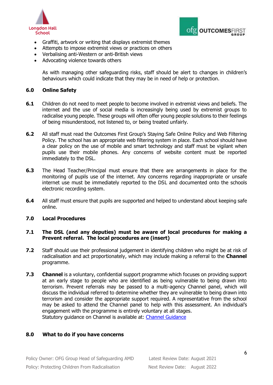



- Graffiti, artwork or writing that displays extremist themes
- Attempts to impose extremist views or practices on others
- Verbalising anti-Western or anti-British views
- Advocating violence towards others

As with managing other safeguarding risks, staff should be alert to changes in children's behaviours which could indicate that they may be in need of help or protection.

#### <span id="page-5-0"></span>**6.0 Online Safety**

- **6.1** Children do not need to meet people to become involved in extremist views and beliefs. The internet and the use of social media is increasingly being used by extremist groups to radicalise young people. These groups will often offer young people solutions to their feelings of being misunderstood, not listened to, or being treated unfairly.
- **6.2** All staff must read the Outcomes First Group's Staying Safe Online Policy and Web Filtering Policy. The school has an appropriate web filtering system in place. Each school should have a clear policy on the use of mobile and smart technology and staff must be vigilant when pupils use their mobile phones. Any concerns of website content must be reported immediately to the DSL.
- **6.3** The Head Teacher/Principal must ensure that there are arrangements in place for the monitoring of pupils use of the internet. Any concerns regarding inappropriate or unsafe internet use must be immediately reported to the DSL and documented onto the schools electronic recording system.
- **6.4** All staff must ensure that pupils are supported and helped to understand about keeping safe online.

#### <span id="page-5-1"></span>**7.0 Local Procedures**

#### **7.1 The DSL (and any deputies) must be aware of local procedures for making a Prevent referral. The local procedures are (insert)**

- **7.2** Staff should use their professional judgement in identifying children who might be at risk of radicalisation and act proportionately, which may include making a referral to the **Channel**  programme.
- **7.3 Channel** is a voluntary, confidential support programme which focuses on providing support at an early stage to people who are identified as being vulnerable to being drawn into terrorism. Prevent referrals may be passed to a multi-agency Channel panel, which will discuss the individual referred to determine whether they are vulnerable to being drawn into terrorism and consider the appropriate support required. A representative from the school may be asked to attend the Channel panel to help with this assessment. An individual's engagement with the programme is entirely voluntary at all stages. Statutory guidance on Channel is available at: [Channel Guidance](https://assets.publishing.service.gov.uk/government/uploads/system/uploads/attachment_data/file/964567/6.6271_HO_HMG_Channel_Duty_Guidance_v14_Web.pdf)

#### <span id="page-5-2"></span>**8.0 What to do if you have concerns**